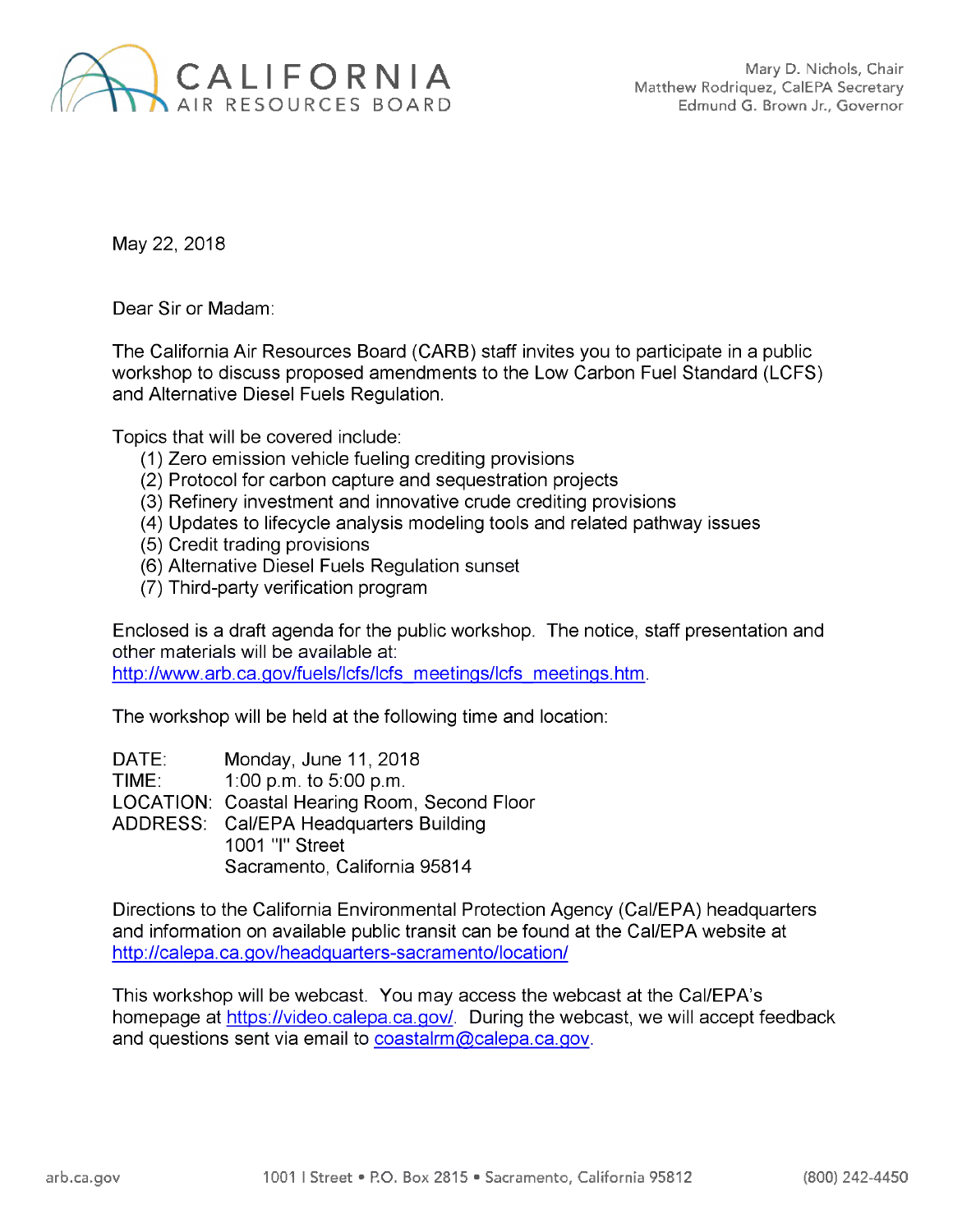

May 22, 2018

Dear Sir or Madam:

The California Air Resources Board (CARB) staff invites you to participate in a public workshop to discuss proposed amendments to the Low Carbon Fuel Standard (LCFS) and Alternative Diesel Fuels Regulation.

Topics that will be covered include:

- (1) Zero emission vehicle fueling crediting provisions
- (2) Protocol for carbon capture and sequestration projects
- (3) Refinery investment and innovative crude crediting provisions
- (4) Updates to lifecycle analysis modeling tools and related pathway issues
- (5) Credit trading provisions
- (6) Alternative Diesel Fuels Regulation sunset
- (7) Third-party verification program

Enclosed is a draft agenda for the public workshop. The notice, staff presentation and other materials will be available at:

[http://www.arb.ca.gov/fuels/lcfs/lcfs](http://www.arb.ca.gov/fuels/lcfs/lcfs_meetings/lcfs_meetings.htm) meetings/lcfs meetings.htm.

The workshop will be held at the following time and location:

DATE: Monday, June 11, 2018 TIME: 1:00 p.m. to 5:00 p.m. LOCATION: Coastal Hearing Room, Second Floor ADDRESS: Cal/EPA Headquarters Building 1001 "I" Street Sacramento, California 95814

Directions to the California Environmental Protection Agency (Cal/EPA) headquarters and information on available public transit can be found at the Cal/EPA website at <http://calepa.ca.gov/headquarters-sacramento/location/>

This workshop will be webcast. You may access the webcast at the Cal/EPA's homepage at <https://video.calepa.ca.gov/>. During the webcast, we will accept feedback and questions sent via email to [coastalrm@calepa.ca.gov](mailto:coastalrm@calepa.ca.gov).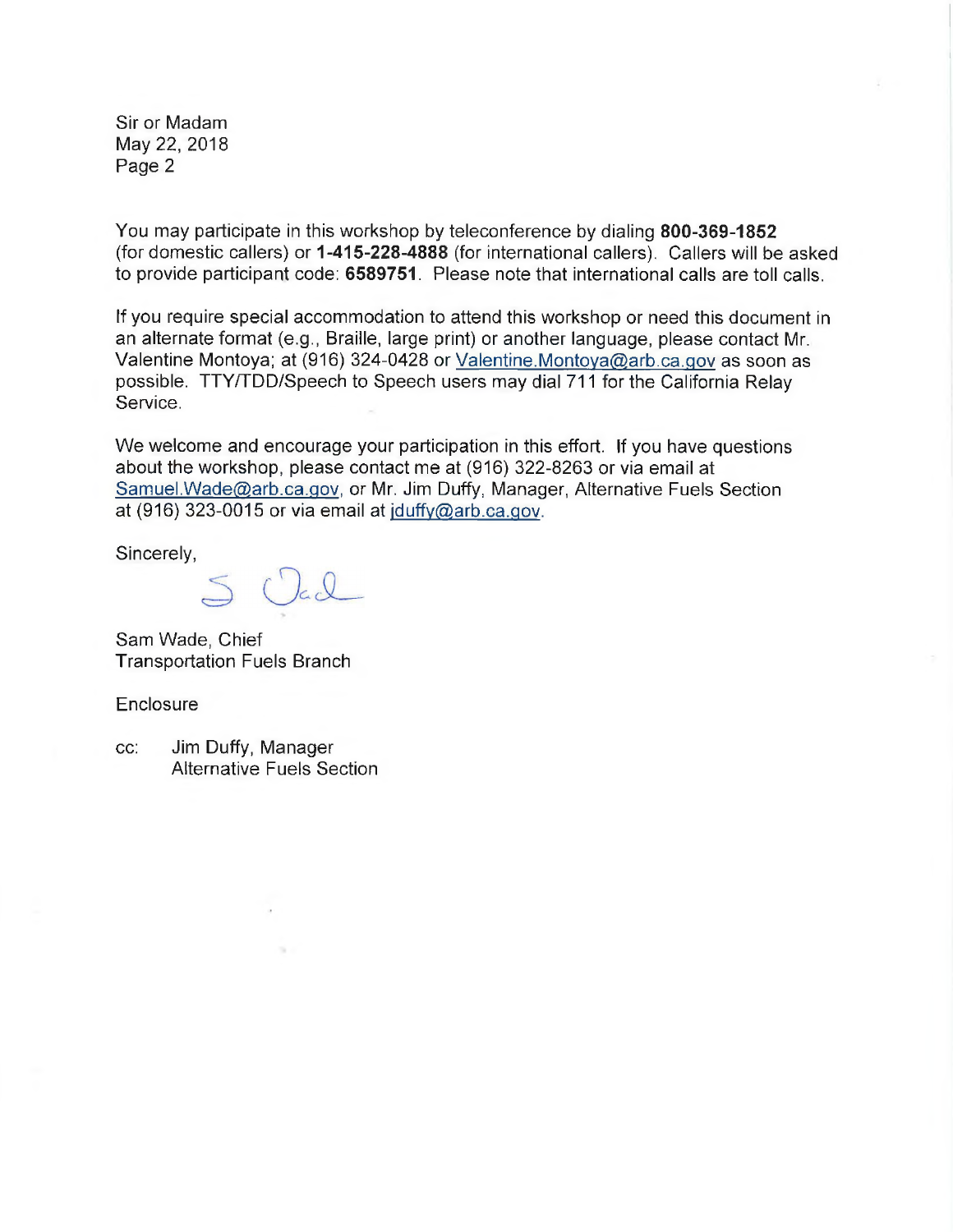Sir or Madam May 22, 2018 Page 2

You may participate in this workshop by teleconference by dialing **800-369-1852** (for domestic callers) or **1-415-228-4888** (for international callers). Callers will be asked to provide participant code: **6589751.** Please note that international calls are toll calls.

If you require special accommodation to attend this workshop or need this document in an alternate format (e.g., Braille, large print) or another language, please contact Mr. Valentine Montoya; at (916) 324-0428 or Valentine.[Montoya@arb.](mailto:Valentine.Montoya@arb.ca.gov)ca.gov as soon as possible. TTY/TDD/Speech to Speech users may dial 711 for the California Relay Service.

We welcome and encourage your participation in this effort. If you have questions about the workshop, please contact me at (916) 322-8263 or via email at [Samuel.Wade@arb.ca.qov](mailto:Samuel.Wade@arb.ca.gov), or Mr. Jim Duffy, Manager, Alternative Fuels Section at (916) 323-0015 or via email at [iduffv@arb.ca.qov](mailto:jduffy@arb.ca.gov).

Sincerely,

Sam Wade, Chief Transportation Fuels Branch

**Enclosure** 

cc: Jim Duffy, Manager Alternative Fuels Section